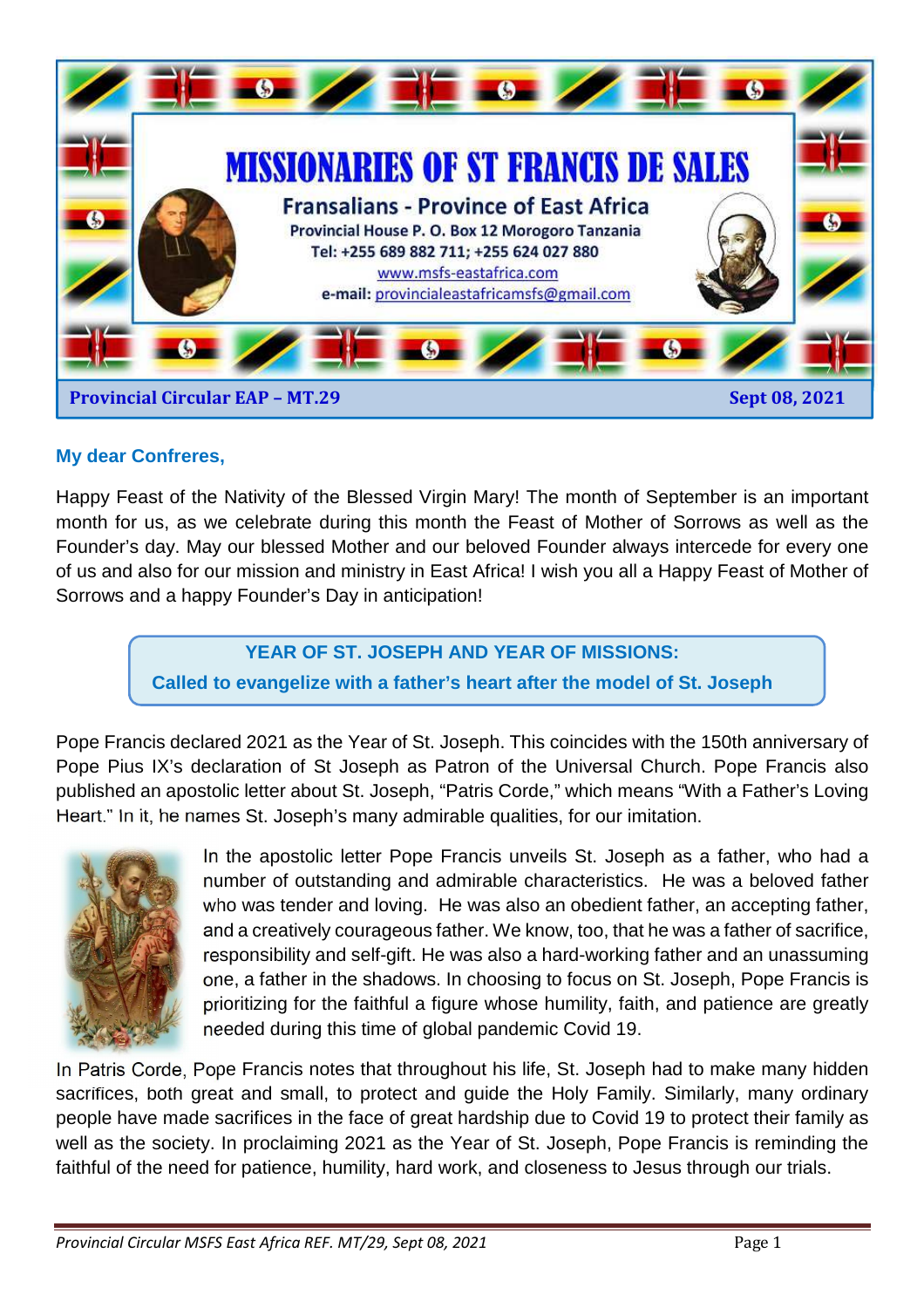

### **My dear Confreres,**

Happy Feast of the Nativity of the Blessed Virgin Mary! The month of September is an important month for us, as we celebrate during this month the Feast of Mother of Sorrows as well as the Founder's day. May our blessed Mother and our beloved Founder always intercede for every one of us and also for our mission and ministry in East Africa! I wish you all a Happy Feast of Mother of Sorrows and a happy Founder's Day in anticipation!

### **YEAR OF ST. JOSEPH AND YEAR OF MISSIONS:**

**Called to evangelize with a father's heart after the model of St. Joseph** 

Pope Francis declared 2021 as the Year of St. Joseph. This coincides with the 150th anniversary of Pope Pius IX's declaration of St Joseph as Patron of the Universal Church. Pope Francis also published an apostolic letter about St. Joseph, "Patris Corde," which means "With a Father's Loving Heart." In it, he names St. Joseph's many admirable qualities, for our imitation.



In the apostolic letter Pope Francis unveils St. Joseph as a father, who had a number of outstanding and admirable characteristics. He was a beloved father who was tender and loving. He was also an obedient father, an accepting father, and a creatively courageous father. We know, too, that he was a father of sacrifice, responsibility and self-gift. He was also a hard-working father and an unassuming one, a father in the shadows. In choosing to focus on St. Joseph, Pope Francis is prioritizing for the faithful a figure whose humility, faith, and patience are greatly needed during this time of global pandemic Covid 19.

In Patris Corde, Pope Francis notes that throughout his life, St. Joseph had to make many hidden sacrifices, both great and small, to protect and guide the Holy Family. Similarly, many ordinary people have made sacrifices in the face of great hardship due to Covid 19 to protect their family as well as the society. In proclaiming 2021 as the Year of St. Joseph, Pope Francis is reminding the faithful of the need for patience, humility, hard work, and closeness to Jesus through our trials.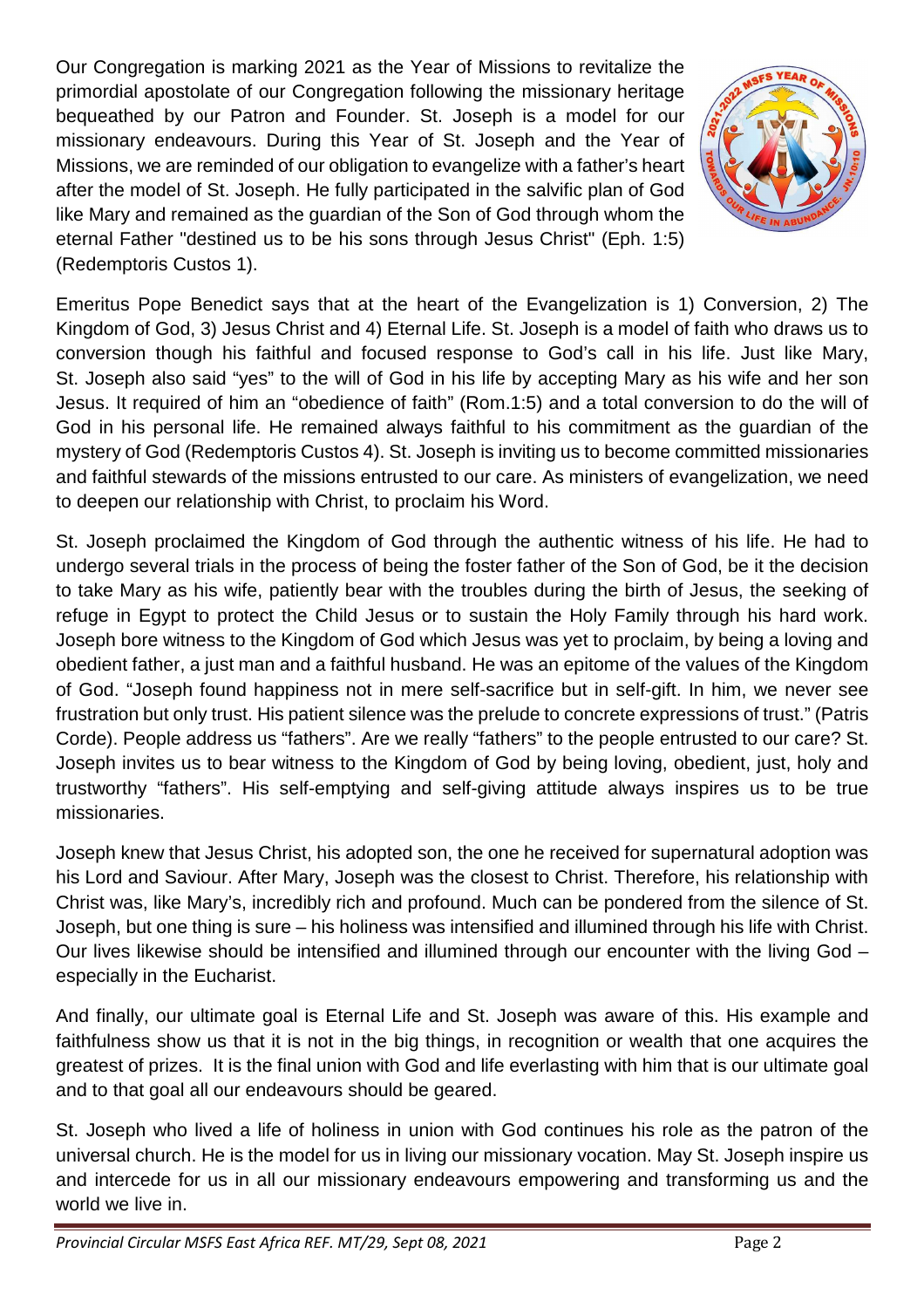Our Congregation is marking 2021 as the Year of Missions to revitalize the primordial apostolate of our Congregation following the missionary heritage bequeathed by our Patron and Founder. St. Joseph is a model for our missionary endeavours. During this Year of St. Joseph and the Year of Missions, we are reminded of our obligation to evangelize with a father's heart after the model of St. Joseph. He fully participated in the salvific plan of God like Mary and remained as the guardian of the Son of God through whom the eternal Father "destined us to be his sons through Jesus Christ" (Eph. 1:5) (Redemptoris Custos 1).



Emeritus Pope Benedict says that at the heart of the Evangelization is 1) Conversion, 2) The Kingdom of God, 3) Jesus Christ and 4) Eternal Life. St. Joseph is a model of faith who draws us to conversion though his faithful and focused response to God's call in his life. Just like Mary, St. Joseph also said "yes" to the will of God in his life by accepting Mary as his wife and her son Jesus. It required of him an "obedience of faith" (Rom.1:5) and a total conversion to do the will of God in his personal life. He remained always faithful to his commitment as the guardian of the mystery of God (Redemptoris Custos 4). St. Joseph is inviting us to become committed missionaries and faithful stewards of the missions entrusted to our care. As ministers of evangelization, we need to deepen our relationship with Christ, to proclaim his Word.

St. Joseph proclaimed the Kingdom of God through the authentic witness of his life. He had to undergo several trials in the process of being the foster father of the Son of God, be it the decision to take Mary as his wife, patiently bear with the troubles during the birth of Jesus, the seeking of refuge in Egypt to protect the Child Jesus or to sustain the Holy Family through his hard work. Joseph bore witness to the Kingdom of God which Jesus was yet to proclaim, by being a loving and obedient father, a just man and a faithful husband. He was an epitome of the values of the Kingdom of God. "Joseph found happiness not in mere self-sacrifice but in self-gift. In him, we never see frustration but only trust. His patient silence was the prelude to concrete expressions of trust." (Patris Corde). People address us "fathers". Are we really "fathers" to the people entrusted to our care? St. Joseph invites us to bear witness to the Kingdom of God by being loving, obedient, just, holy and trustworthy "fathers". His self-emptying and self-giving attitude always inspires us to be true missionaries.

Joseph knew that Jesus Christ, his adopted son, the one he received for supernatural adoption was his Lord and Saviour. After Mary, Joseph was the closest to Christ. Therefore, his relationship with Christ was, like Mary's, incredibly rich and profound. Much can be pondered from the silence of St. Joseph, but one thing is sure – his holiness was intensified and illumined through his life with Christ. Our lives likewise should be intensified and illumined through our encounter with the living God – especially in the Eucharist.

And finally, our ultimate goal is Eternal Life and St. Joseph was aware of this. His example and faithfulness show us that it is not in the big things, in recognition or wealth that one acquires the greatest of prizes. It is the final union with God and life everlasting with him that is our ultimate goal and to that goal all our endeavours should be geared.

St. Joseph who lived a life of holiness in union with God continues his role as the patron of the universal church. He is the model for us in living our missionary vocation. May St. Joseph inspire us and intercede for us in all our missionary endeavours empowering and transforming us and the world we live in.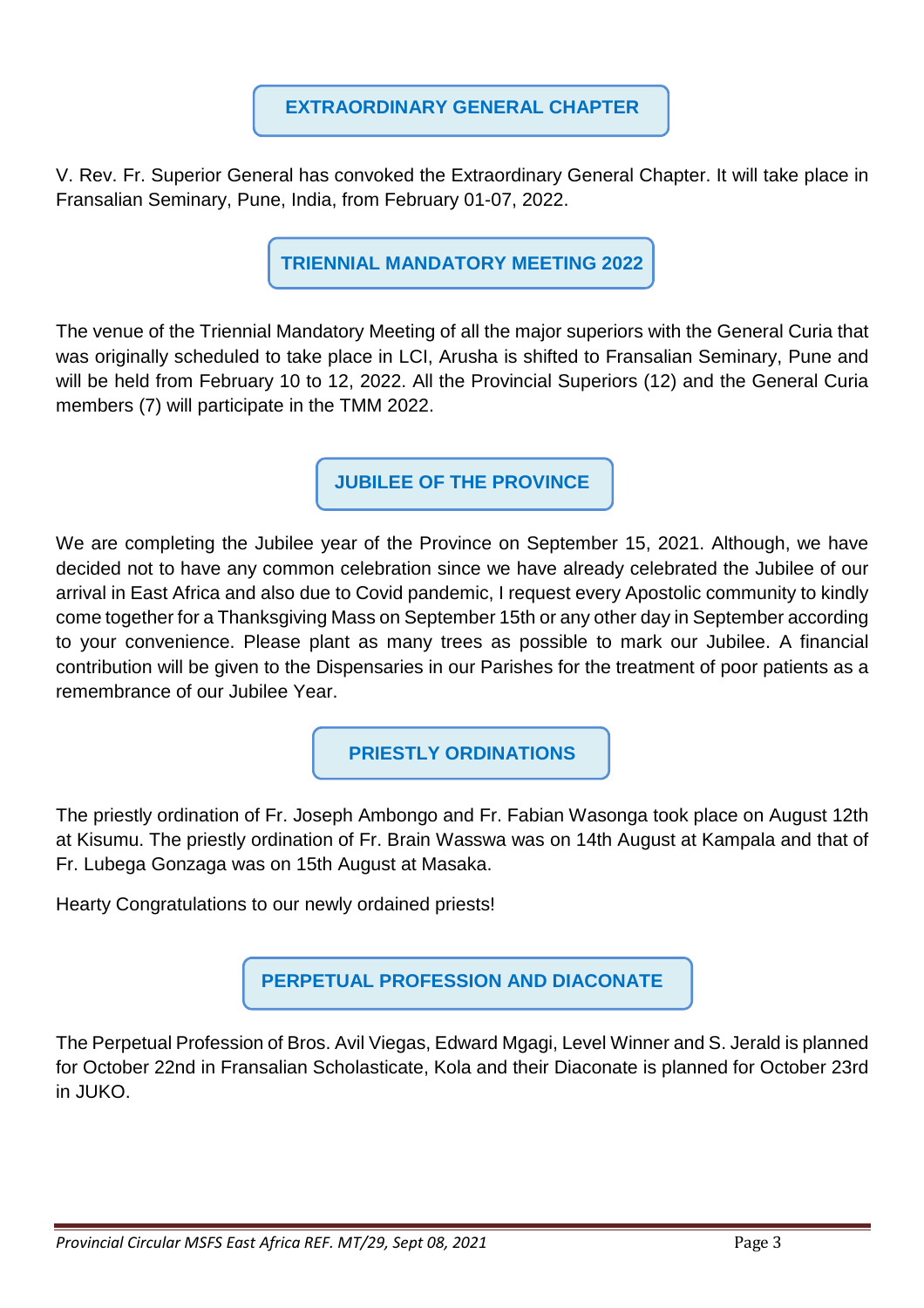V. Rev. Fr. Superior General has convoked the Extraordinary General Chapter. It will take place in Fransalian Seminary, Pune, India, from February 01-07, 2022.

**TRIENNIAL MANDATORY MEETING 2022** 

The venue of the Triennial Mandatory Meeting of all the major superiors with the General Curia that was originally scheduled to take place in LCI, Arusha is shifted to Fransalian Seminary, Pune and will be held from February 10 to 12, 2022. All the Provincial Superiors (12) and the General Curia members (7) will participate in the TMM 2022.

**JUBILEE OF THE PROVINCE** 

We are completing the Jubilee year of the Province on September 15, 2021. Although, we have decided not to have any common celebration since we have already celebrated the Jubilee of our arrival in East Africa and also due to Covid pandemic, I request every Apostolic community to kindly come together for a Thanksgiving Mass on September 15th or any other day in September according to your convenience. Please plant as many trees as possible to mark our Jubilee. A financial contribution will be given to the Dispensaries in our Parishes for the treatment of poor patients as a remembrance of our Jubilee Year.

**PRIESTLY ORDINATIONS** 

The priestly ordination of Fr. Joseph Ambongo and Fr. Fabian Wasonga took place on August 12th at Kisumu. The priestly ordination of Fr. Brain Wasswa was on 14th August at Kampala and that of Fr. Lubega Gonzaga was on 15th August at Masaka.

Hearty Congratulations to our newly ordained priests!

**PERPETUAL PROFESSION AND DIACONATE** 

The Perpetual Profession of Bros. Avil Viegas, Edward Mgagi, Level Winner and S. Jerald is planned for October 22nd in Fransalian Scholasticate, Kola and their Diaconate is planned for October 23rd in JUKO.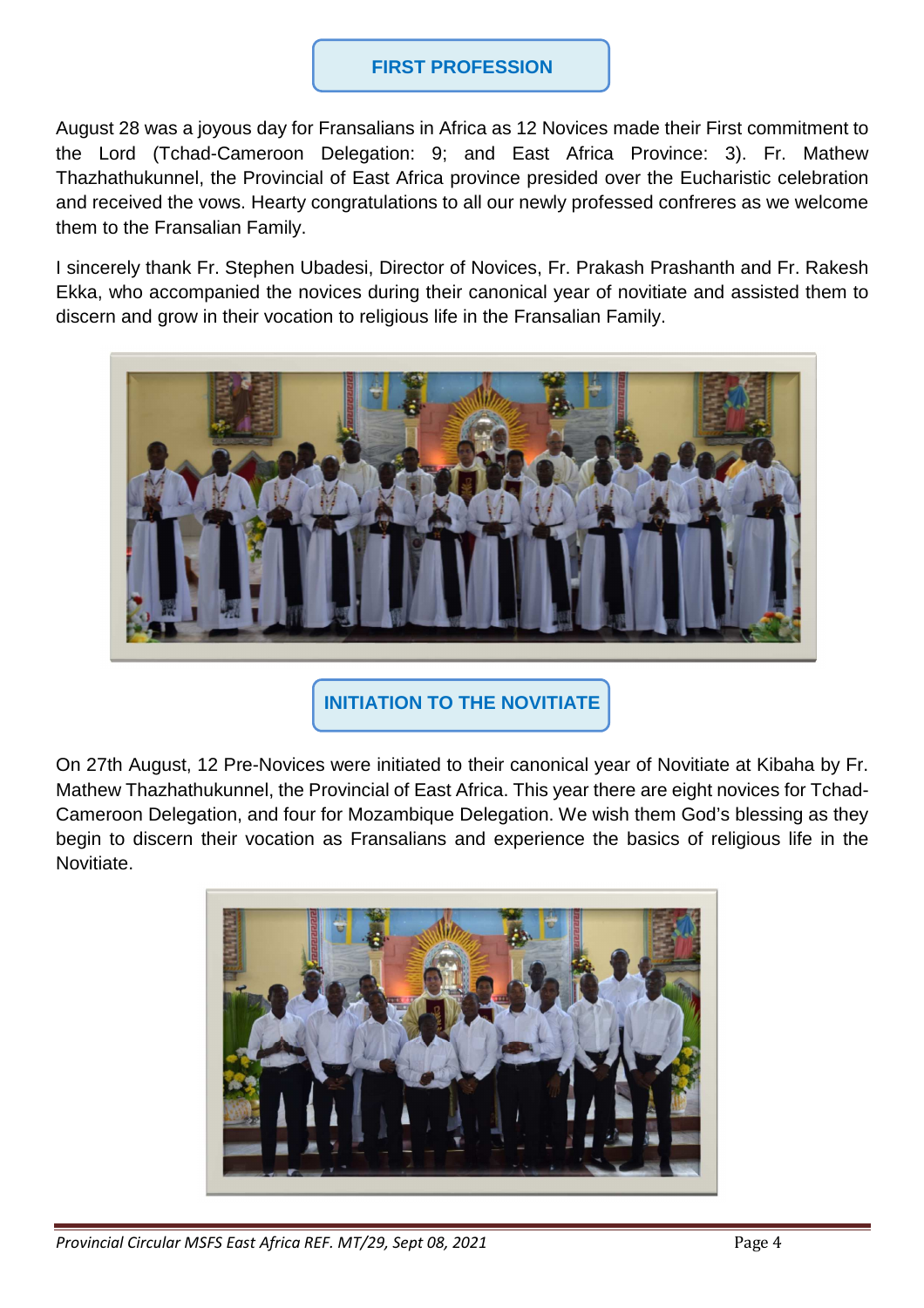### **FIRST PROFESSION**

August 28 was a joyous day for Fransalians in Africa as 12 Novices made their First commitment to the Lord (Tchad-Cameroon Delegation: 9; and East Africa Province: 3). Fr. Mathew Thazhathukunnel, the Provincial of East Africa province presided over the Eucharistic celebration and received the vows. Hearty congratulations to all our newly professed confreres as we welcome them to the Fransalian Family.

I sincerely thank Fr. Stephen Ubadesi, Director of Novices, Fr. Prakash Prashanth and Fr. Rakesh Ekka, who accompanied the novices during their canonical year of novitiate and assisted them to discern and grow in their vocation to religious life in the Fransalian Family.



**INITIATION TO THE NOVITIATE** 

On 27th August, 12 Pre-Novices were initiated to their canonical year of Novitiate at Kibaha by Fr. Mathew Thazhathukunnel, the Provincial of East Africa. This year there are eight novices for Tchad-Cameroon Delegation, and four for Mozambique Delegation. We wish them God's blessing as they begin to discern their vocation as Fransalians and experience the basics of religious life in the Novitiate.

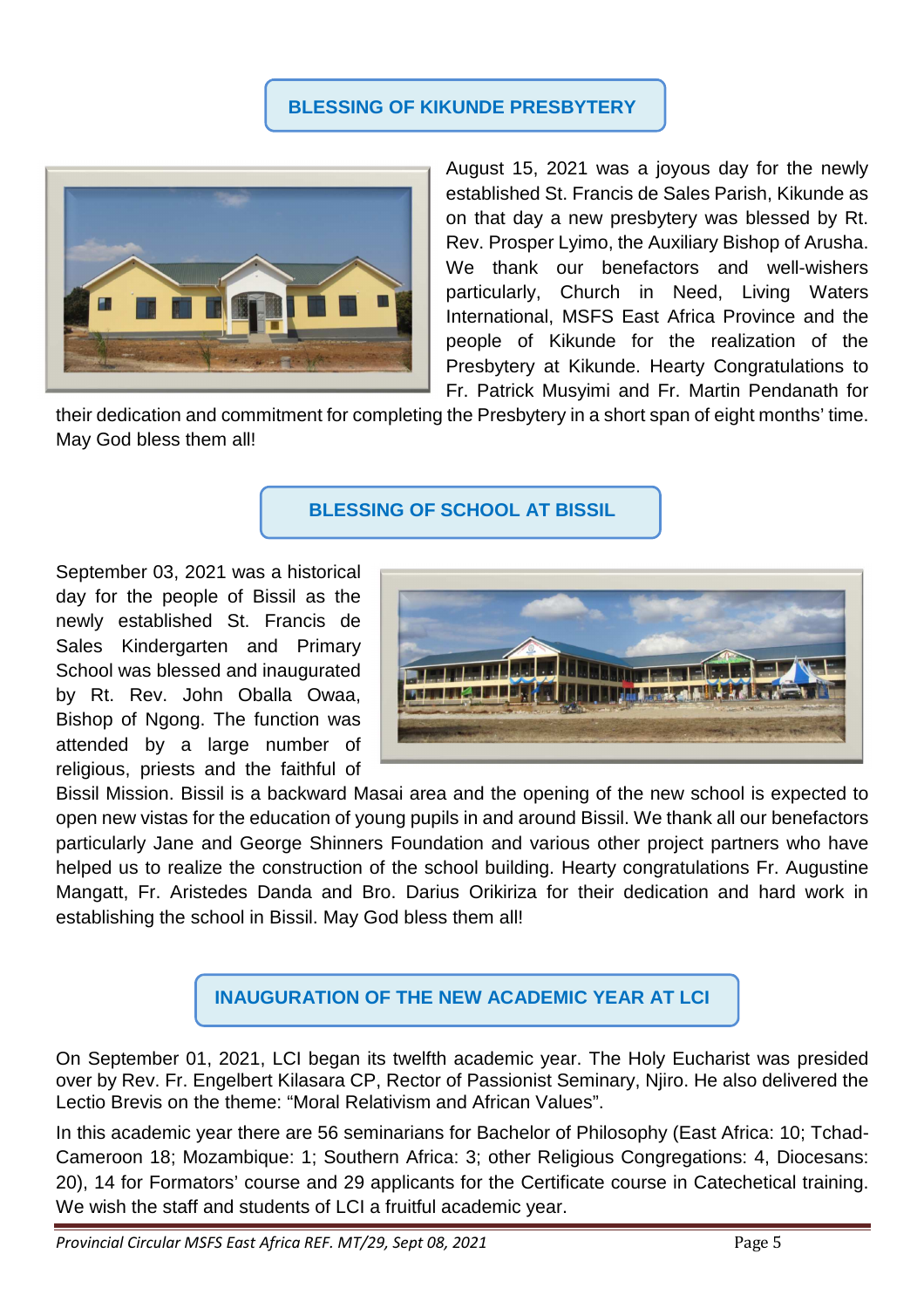### **BLESSING OF KIKUNDE PRESBYTERY**



August 15, 2021 was a joyous day for the newly established St. Francis de Sales Parish, Kikunde as on that day a new presbytery was blessed by Rt. Rev. Prosper Lyimo, the Auxiliary Bishop of Arusha. We thank our benefactors and well-wishers particularly, Church in Need, Living Waters International, MSFS East Africa Province and the people of Kikunde for the realization of the Presbytery at Kikunde. Hearty Congratulations to Fr. Patrick Musyimi and Fr. Martin Pendanath for

their dedication and commitment for completing the Presbytery in a short span of eight months' time. May God bless them all!

### **BLESSING OF SCHOOL AT BISSIL**

September 03, 2021 was a historical day for the people of Bissil as the newly established St. Francis de Sales Kindergarten and Primary School was blessed and inaugurated by Rt. Rev. John Oballa Owaa, Bishop of Ngong. The function was attended by a large number of religious, priests and the faithful of



Bissil Mission. Bissil is a backward Masai area and the opening of the new school is expected to open new vistas for the education of young pupils in and around Bissil. We thank all our benefactors particularly Jane and George Shinners Foundation and various other project partners who have helped us to realize the construction of the school building. Hearty congratulations Fr. Augustine Mangatt, Fr. Aristedes Danda and Bro. Darius Orikiriza for their dedication and hard work in establishing the school in Bissil. May God bless them all!



On September 01, 2021, LCI began its twelfth academic year. The Holy Eucharist was presided over by Rev. Fr. Engelbert Kilasara CP, Rector of Passionist Seminary, Njiro. He also delivered the Lectio Brevis on the theme: "Moral Relativism and African Values".

In this academic year there are 56 seminarians for Bachelor of Philosophy (East Africa: 10; Tchad-Cameroon 18; Mozambique: 1; Southern Africa: 3; other Religious Congregations: 4, Diocesans: 20), 14 for Formators' course and 29 applicants for the Certificate course in Catechetical training. We wish the staff and students of LCI a fruitful academic year.

*Provincial Circular MSFS East Africa REF. MT/29, Sept 08, 2021* Page 5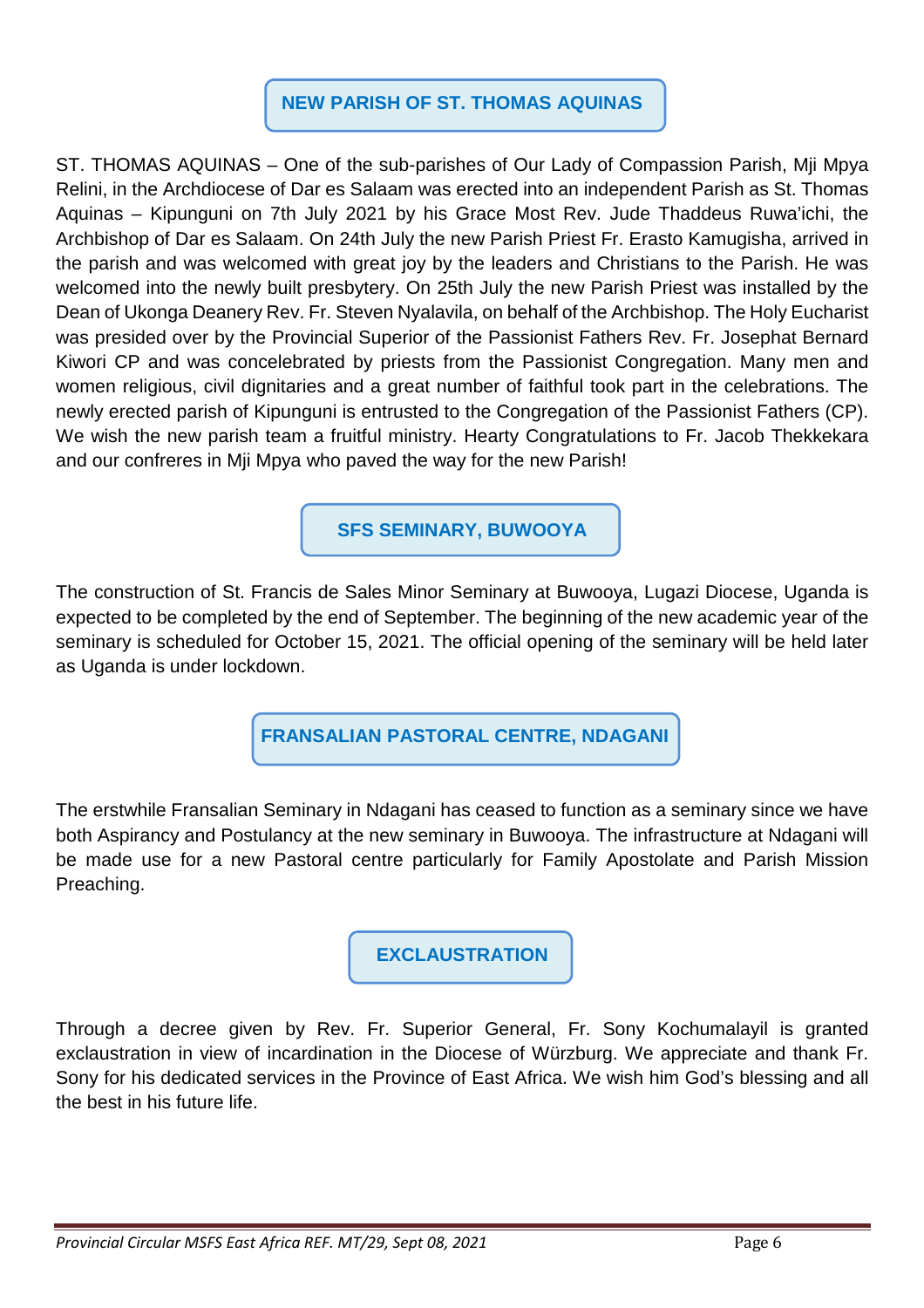## **NEW PARISH OF ST. THOMAS AQUINAS**

ST. THOMAS AQUINAS – One of the sub-parishes of Our Lady of Compassion Parish, Mji Mpya Relini, in the Archdiocese of Dar es Salaam was erected into an independent Parish as St. Thomas Aquinas – Kipunguni on 7th July 2021 by his Grace Most Rev. Jude Thaddeus Ruwa'ichi, the Archbishop of Dar es Salaam. On 24th July the new Parish Priest Fr. Erasto Kamugisha, arrived in the parish and was welcomed with great joy by the leaders and Christians to the Parish. He was welcomed into the newly built presbytery. On 25th July the new Parish Priest was installed by the Dean of Ukonga Deanery Rev. Fr. Steven Nyalavila, on behalf of the Archbishop. The Holy Eucharist was presided over by the Provincial Superior of the Passionist Fathers Rev. Fr. Josephat Bernard Kiwori CP and was concelebrated by priests from the Passionist Congregation. Many men and women religious, civil dignitaries and a great number of faithful took part in the celebrations. The newly erected parish of Kipunguni is entrusted to the Congregation of the Passionist Fathers (CP). We wish the new parish team a fruitful ministry. Hearty Congratulations to Fr. Jacob Thekkekara and our confreres in Mji Mpya who paved the way for the new Parish!

**SFS SEMINARY, BUWOOYA** 

The construction of St. Francis de Sales Minor Seminary at Buwooya, Lugazi Diocese, Uganda is expected to be completed by the end of September. The beginning of the new academic year of the seminary is scheduled for October 15, 2021. The official opening of the seminary will be held later as Uganda is under lockdown.

 **FRANSALIAN PASTORAL CENTRE, NDAGANI**

The erstwhile Fransalian Seminary in Ndagani has ceased to function as a seminary since we have both Aspirancy and Postulancy at the new seminary in Buwooya. The infrastructure at Ndagani will be made use for a new Pastoral centre particularly for Family Apostolate and Parish Mission Preaching.

**EXCLAUSTRATION** 

Through a decree given by Rev. Fr. Superior General, Fr. Sony Kochumalayil is granted exclaustration in view of incardination in the Diocese of Würzburg. We appreciate and thank Fr. Sony for his dedicated services in the Province of East Africa. We wish him God's blessing and all the best in his future life.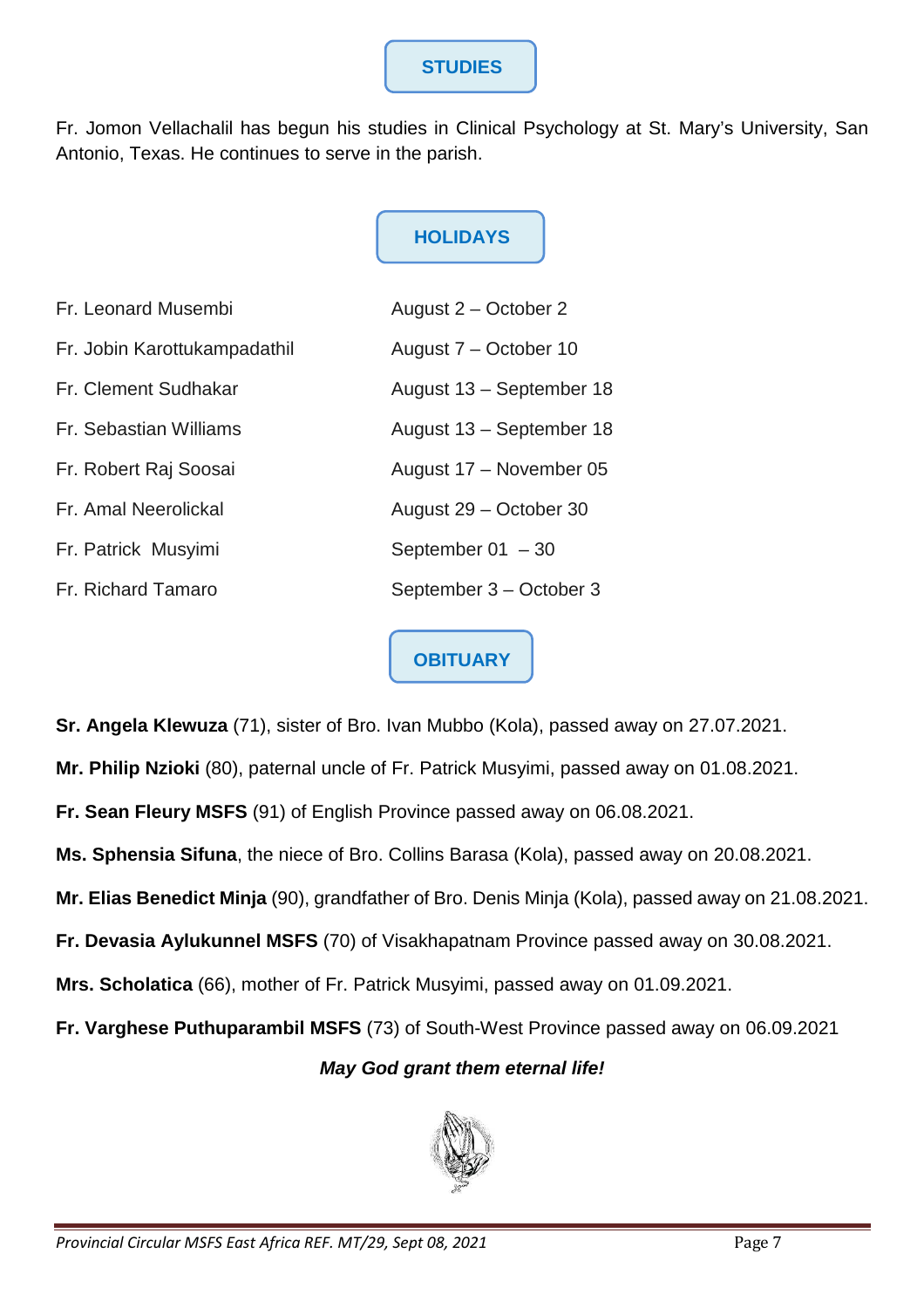# **STUDIES**

Fr. Jomon Vellachalil has begun his studies in Clinical Psychology at St. Mary's University, San Antonio, Texas. He continues to serve in the parish.

# **HOLIDAYS**

| Fr. Leonard Musembi          | August 2 – October 2     |
|------------------------------|--------------------------|
| Fr. Jobin Karottukampadathil | August 7 – October 10    |
| Fr. Clement Sudhakar         | August 13 - September 18 |
| Fr. Sebastian Williams       | August 13 - September 18 |
| Fr. Robert Raj Soosai        | August 17 - November 05  |
| Fr. Amal Neerolickal         | August 29 – October 30   |
| Fr. Patrick Musyimi          | September $01 - 30$      |
| Fr. Richard Tamaro           | September 3 – October 3  |

**OBITUARY**

**Sr. Angela Klewuza** (71), sister of Bro. Ivan Mubbo (Kola), passed away on 27.07.2021.

**Mr. Philip Nzioki** (80), paternal uncle of Fr. Patrick Musyimi, passed away on 01.08.2021.

**Fr. Sean Fleury MSFS** (91) of English Province passed away on 06.08.2021.

**Ms. Sphensia Sifuna**, the niece of Bro. Collins Barasa (Kola), passed away on 20.08.2021.

**Mr. Elias Benedict Minja** (90), grandfather of Bro. Denis Minja (Kola), passed away on 21.08.2021.

**Fr. Devasia Aylukunnel MSFS** (70) of Visakhapatnam Province passed away on 30.08.2021.

**Mrs. Scholatica** (66), mother of Fr. Patrick Musyimi, passed away on 01.09.2021.

**Fr. Varghese Puthuparambil MSFS** (73) of South-West Province passed away on 06.09.2021

## **May God grant them eternal life!**